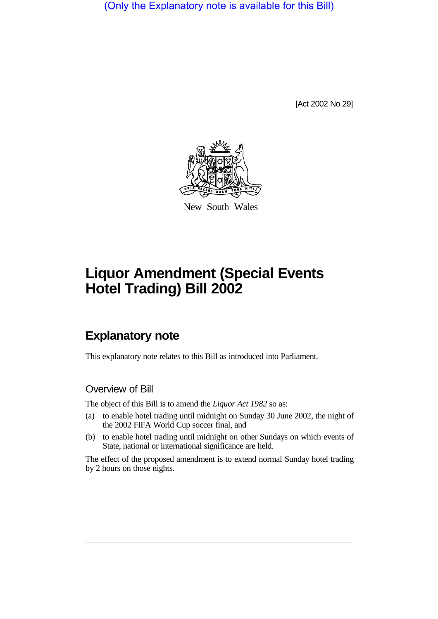(Only the Explanatory note is available for this Bill)

[Act 2002 No 29]



New South Wales

## **Liquor Amendment (Special Events Hotel Trading) Bill 2002**

## **Explanatory note**

This explanatory note relates to this Bill as introduced into Parliament.

## Overview of Bill

The object of this Bill is to amend the *Liquor Act 1982* so as:

- (a) to enable hotel trading until midnight on Sunday 30 June 2002, the night of the 2002 FIFA World Cup soccer final, and
- (b) to enable hotel trading until midnight on other Sundays on which events of State, national or international significance are held.

The effect of the proposed amendment is to extend normal Sunday hotel trading by 2 hours on those nights.